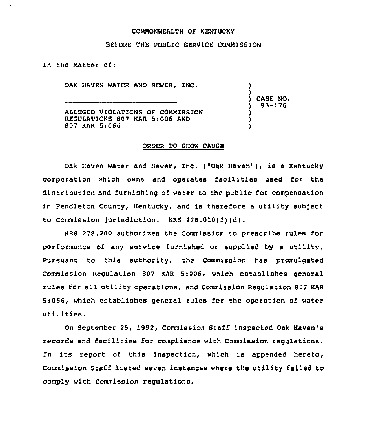# COMMONWEALTH OF KENTUCKy

### BEFORE THE PUBLIC 8ERVICE COMMISSION

In the Matter of:

OAK HAVEN WATER AND SEWER. INC.

ALLEGED VIOLATIONS OF COMMI881ON REGULATIONS 807 KAR 5:006 AND 807 KAR St066

CASE NO. ) 93-176

) )

) ) )

### ORDER TO SHOW CAUSE

Oak Haven Water and Sewer, Inc. ("Oak Haven"), is a Kentucky corporation which owns and operates facilities used for the distribution and furnishing of water to the public for compensation in Pendleton County, Kentucky, and is therefore a utility subject to Commission jurisdiction. KRS 278.010(3)(d),

KRS 278.280 authorizes the Commission to prescribe rules for performance of any service furnished or supplied by a utility. Pursuant to this authority, the Commission has promulgated Commission Regulation 807 KAR 5:006, which establishes general rules for all utility operations, and Commission Regulation 807 KAR 5:066, which establishes general rules for the operation of water utilities.

On September 25, 1992, Commission Staff inspected Oak Haven's records and facilities for compliance with Commission regulations. In its report of this inspection, which is appended hereto, Commission Staff listed seven instances where the utility failed to comply with Commission regulations.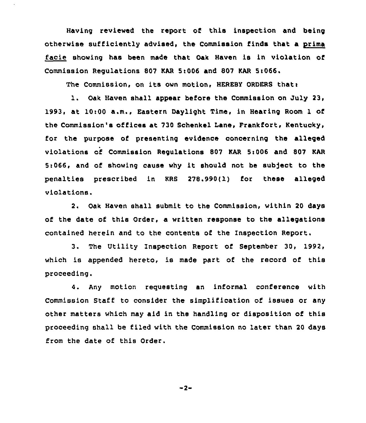Having reviewed the report of this inspection and being otherwise sufficiently advised, the Commission finds that a prima facie showing has been made that Oak Haven is in violation of Commission Regulations 807 KAR 5:006 and 807 KAR 5:066.

The Commission, on its own motion, HEREBY ORDERS that:

l. Oak Haven shall appear before the Commission on July 23, 1993, at 10:00 a.m., Eastern Daylight Time, in Hearing Room 1 of the Commission's offices at 730 Schenkel Lane, Frankfort, Kentucky, for the purpose of presenting evidence concerning the alleged violations of Commission Regulations 807 KAR 5:006 and 807 KAR 5:066, and of showing cause why it should not be subject to the penalties prescribed in KRS 278.990(1) for these alleged violations.

2. Oak Haven shall submit to the Commission, within 20 days of the date of this Order, a written response to the allegations contained herein and to the contents of the Inspection Report.

3. The Utility Inspection Report of September 30, 1992, which is appended hereto, is made part of the record of this proceeding.

4. Any motion requesting an informal conference with Commission Staff to consider the simplification of issues or any other matters which may aid in the handling or disposition of this proceeding shall be filed with the Commission no later than 20 days from the date of this Order.

 $-2-$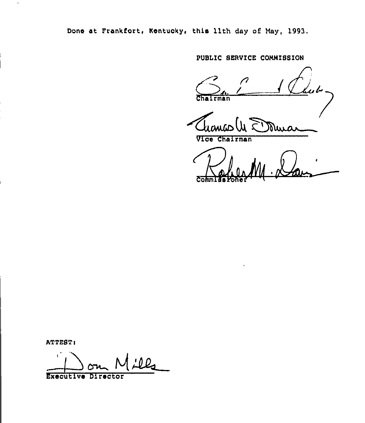Done at Frankfort, Kentucky, this llth day of May, 1993.

PUBLIC SERVICE COMMISSION

ku bi Chairman

Vice Chairman

Comm

ATTEST:

 $\bar{\star}$ 

 $\mathbf{r}^{\prime}$ <u>ill</u> Executive Director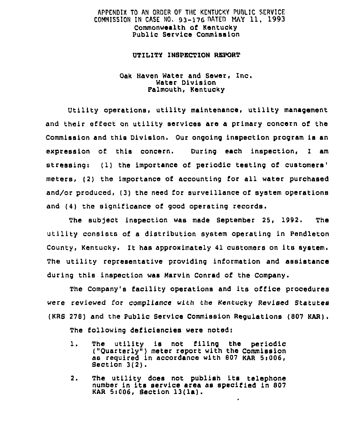# APPENDIX TO AN ORDER OF THE KENTUCKY PUBLIC SERVICE COMMISSION IN CASE NO. 93-176 DATED MAY 11, 1993 Commonwealth of Kentucky Public Service Commission

### UTILITY INSPECTION REPORT

## Oak Haven Water and Sewer, Inc. Water Division Palmouth, Kentucky

Utility operations, utility maintenance, utility management and their effect on utility services are a primary concern of the Commlsslon and this Division. Our ongoing inspection program ls an expression of this concern. During each inspection, I am stressing: (1) the importance of periodic testing of customers' meters, (2) the importance of accounting for all water purchased and/or produced, (3) the need for surveillance of system operations and  $(4)$  the significance of good operating records.

The subject inspection was made September 25, 1992. The utility consists of a distribution system operating ln Pendieton County, Kentucky. It has approximately <sup>41</sup> customers on its system. The utility representative providing information and assistance during this inspection was Marvin Conrad of the Company.

The Company's facility operations and its office procedures were reviewed for ccmpIlance with the Kentucky Revised Statutes (KRs 278) and the public service Commission Regulations (807 KAR) . The following deficiencies were noted:

- 1. The utility is not filing the periodic<br>("Quarterly") meter report with the Commission as required in accordance with 807 KAR 5:006, Section 3(2).
- 2. The utility does not publish its telephone number ln its service area as specified ln <sup>807</sup> KAR Si006, Section 13(la).

٠